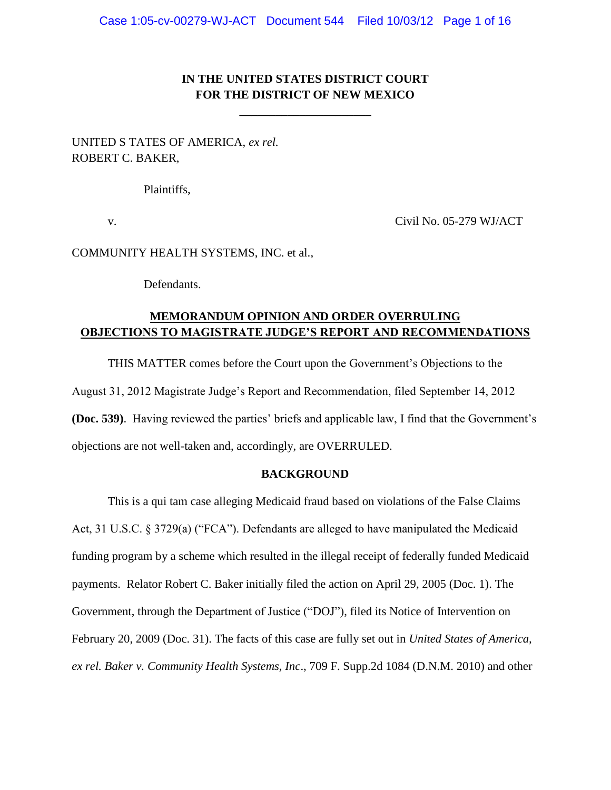# **IN THE UNITED STATES DISTRICT COURT FOR THE DISTRICT OF NEW MEXICO**

**\_\_\_\_\_\_\_\_\_\_\_\_\_\_\_\_\_\_\_\_\_\_**

UNITED S TATES OF AMERICA, *ex rel.* ROBERT C. BAKER,

Plaintiffs,

v. Civil No. 05-279 WJ/ACT

COMMUNITY HEALTH SYSTEMS, INC. et al.,

Defendants.

# **MEMORANDUM OPINION AND ORDER OVERRULING OBJECTIONS TO MAGISTRATE JUDGE'S REPORT AND RECOMMENDATIONS**

THIS MATTER comes before the Court upon the Government"s Objections to the August 31, 2012 Magistrate Judge"s Report and Recommendation, filed September 14, 2012 **(Doc. 539)**. Having reviewed the parties' briefs and applicable law, I find that the Government's objections are not well-taken and, accordingly, are OVERRULED.

### **BACKGROUND**

This is a qui tam case alleging Medicaid fraud based on violations of the False Claims Act, 31 U.S.C. § 3729(a) ("FCA"). Defendants are alleged to have manipulated the Medicaid funding program by a scheme which resulted in the illegal receipt of federally funded Medicaid payments. Relator Robert C. Baker initially filed the action on April 29, 2005 (Doc. 1). The Government, through the Department of Justice ("DOJ"), filed its Notice of Intervention on February 20, 2009 (Doc. 31). The facts of this case are fully set out in *United States of America, ex rel. Baker v. Community Health Systems, Inc*., 709 F. Supp.2d 1084 (D.N.M. 2010) and other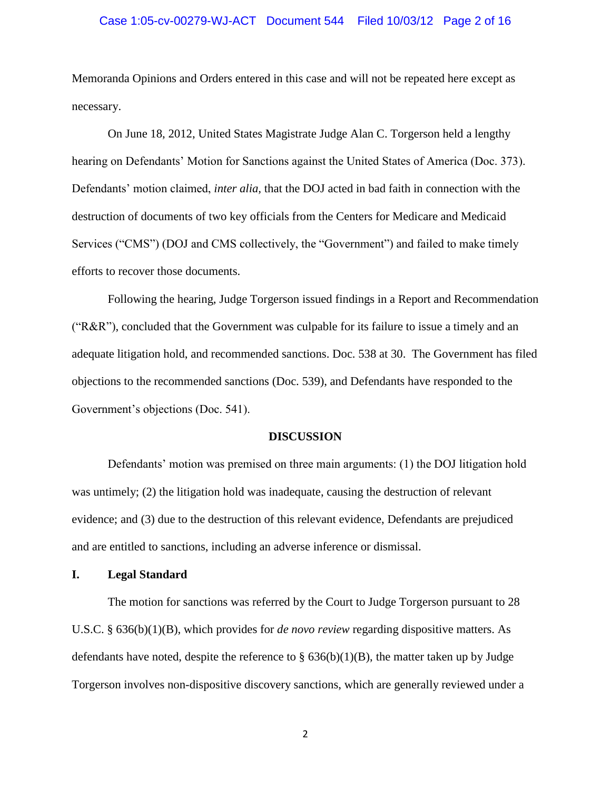#### Case 1:05-cv-00279-WJ-ACT Document 544 Filed 10/03/12 Page 2 of 16

Memoranda Opinions and Orders entered in this case and will not be repeated here except as necessary.

On June 18, 2012, United States Magistrate Judge Alan C. Torgerson held a lengthy hearing on Defendants" Motion for Sanctions against the United States of America (Doc. 373). Defendants" motion claimed, *inter alia,* that the DOJ acted in bad faith in connection with the destruction of documents of two key officials from the Centers for Medicare and Medicaid Services ("CMS") (DOJ and CMS collectively, the "Government") and failed to make timely efforts to recover those documents.

Following the hearing, Judge Torgerson issued findings in a Report and Recommendation ("R&R"), concluded that the Government was culpable for its failure to issue a timely and an adequate litigation hold, and recommended sanctions. Doc. 538 at 30. The Government has filed objections to the recommended sanctions (Doc. 539), and Defendants have responded to the Government's objections (Doc. 541).

#### **DISCUSSION**

Defendants' motion was premised on three main arguments: (1) the DOJ litigation hold was untimely; (2) the litigation hold was inadequate, causing the destruction of relevant evidence; and (3) due to the destruction of this relevant evidence, Defendants are prejudiced and are entitled to sanctions, including an adverse inference or dismissal.

#### **I. Legal Standard**

The motion for sanctions was referred by the Court to Judge Torgerson pursuant to 28 U.S.C. § 636(b)(1)(B), which provides for *de novo review* regarding dispositive matters. As defendants have noted, despite the reference to  $\S$  636(b)(1)(B), the matter taken up by Judge Torgerson involves non-dispositive discovery sanctions, which are generally reviewed under a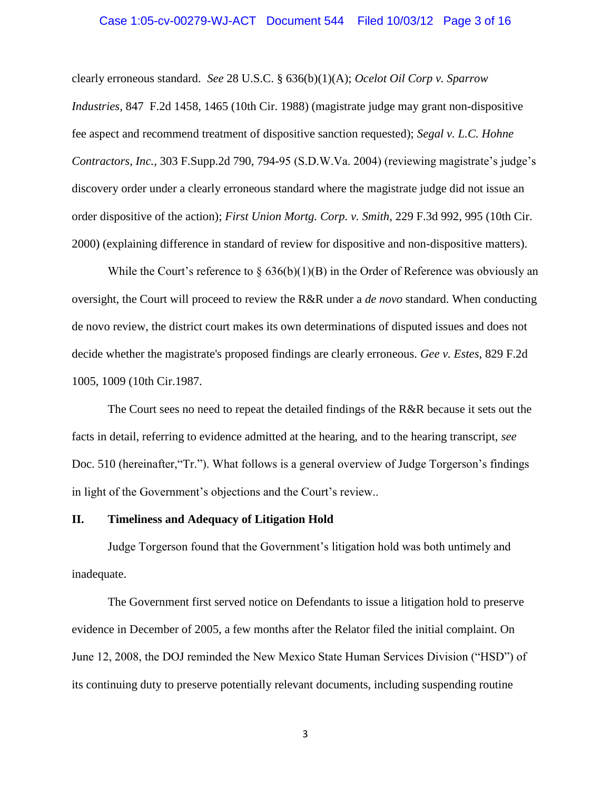#### Case 1:05-cv-00279-WJ-ACT Document 544 Filed 10/03/12 Page 3 of 16

clearly erroneous standard. *See* 28 U.S.C. § 636(b)(1)(A); *Ocelot Oil Corp v. Sparrow Industries,* 847 F.2d 1458, 1465 (10th Cir. 1988) (magistrate judge may grant non-dispositive fee aspect and recommend treatment of dispositive sanction requested); *Segal v. L.C. Hohne Contractors, Inc.,* 303 F.Supp.2d 790, 794-95 (S.D.W.Va. 2004) (reviewing magistrate's judge's discovery order under a clearly erroneous standard where the magistrate judge did not issue an order dispositive of the action); *First Union Mortg. Corp. v. Smith*, 229 F.3d 992, 995 (10th Cir. 2000) (explaining difference in standard of review for dispositive and non-dispositive matters).

While the Court's reference to  $\S 636(b)(1)(B)$  in the Order of Reference was obviously an oversight, the Court will proceed to review the R&R under a *de novo* standard. When conducting de novo review, the district court makes its own determinations of disputed issues and does not decide whether the magistrate's proposed findings are clearly erroneous. *Gee v. Estes*, 829 F.2d 1005, 1009 (10th Cir.1987.

The Court sees no need to repeat the detailed findings of the R&R because it sets out the facts in detail, referring to evidence admitted at the hearing, and to the hearing transcript, *see* Doc. 510 (hereinafter,"Tr."). What follows is a general overview of Judge Torgerson"s findings in light of the Government's objections and the Court's review...

### **II. Timeliness and Adequacy of Litigation Hold**

Judge Torgerson found that the Government"s litigation hold was both untimely and inadequate.

The Government first served notice on Defendants to issue a litigation hold to preserve evidence in December of 2005, a few months after the Relator filed the initial complaint. On June 12, 2008, the DOJ reminded the New Mexico State Human Services Division ("HSD") of its continuing duty to preserve potentially relevant documents, including suspending routine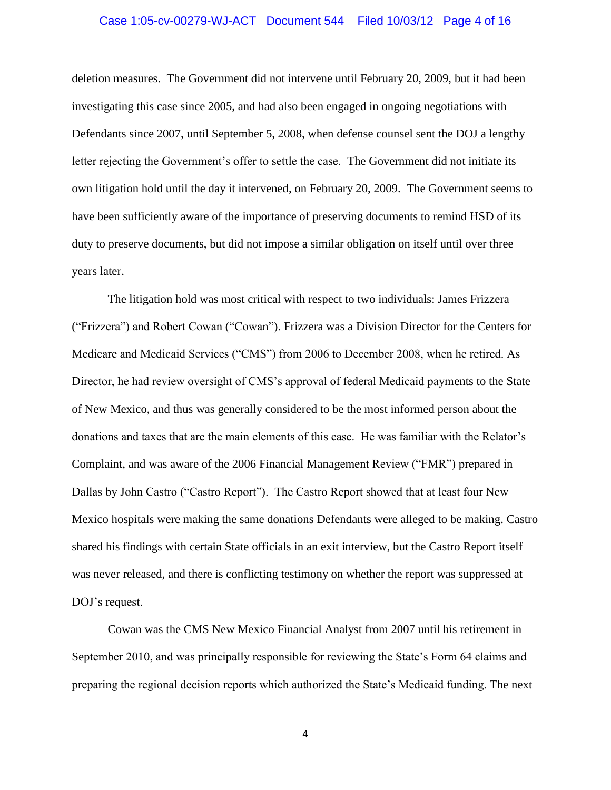#### Case 1:05-cv-00279-WJ-ACT Document 544 Filed 10/03/12 Page 4 of 16

deletion measures. The Government did not intervene until February 20, 2009, but it had been investigating this case since 2005, and had also been engaged in ongoing negotiations with Defendants since 2007, until September 5, 2008, when defense counsel sent the DOJ a lengthy letter rejecting the Government's offer to settle the case. The Government did not initiate its own litigation hold until the day it intervened, on February 20, 2009. The Government seems to have been sufficiently aware of the importance of preserving documents to remind HSD of its duty to preserve documents, but did not impose a similar obligation on itself until over three years later.

The litigation hold was most critical with respect to two individuals: James Frizzera ("Frizzera") and Robert Cowan ("Cowan"). Frizzera was a Division Director for the Centers for Medicare and Medicaid Services ("CMS") from 2006 to December 2008, when he retired. As Director, he had review oversight of CMS"s approval of federal Medicaid payments to the State of New Mexico, and thus was generally considered to be the most informed person about the donations and taxes that are the main elements of this case. He was familiar with the Relator's Complaint, and was aware of the 2006 Financial Management Review ("FMR") prepared in Dallas by John Castro ("Castro Report"). The Castro Report showed that at least four New Mexico hospitals were making the same donations Defendants were alleged to be making. Castro shared his findings with certain State officials in an exit interview, but the Castro Report itself was never released, and there is conflicting testimony on whether the report was suppressed at DOJ"s request.

Cowan was the CMS New Mexico Financial Analyst from 2007 until his retirement in September 2010, and was principally responsible for reviewing the State"s Form 64 claims and preparing the regional decision reports which authorized the State"s Medicaid funding. The next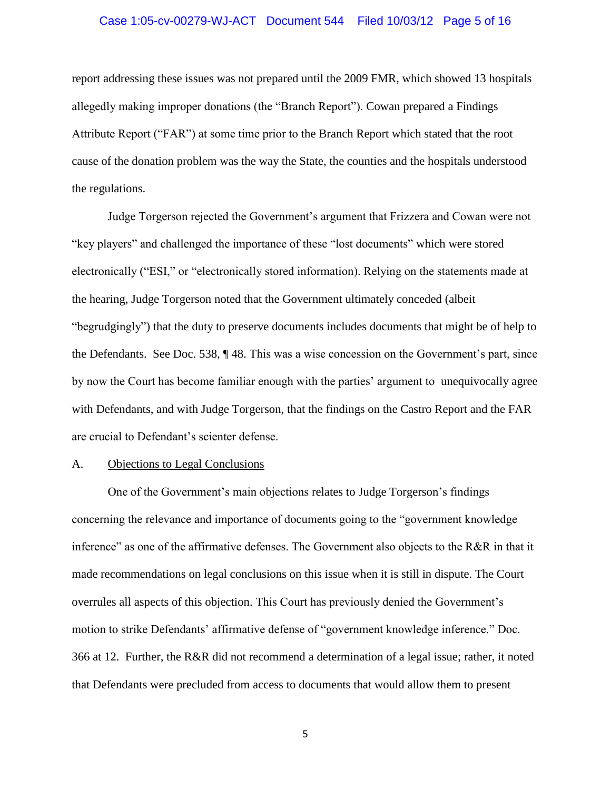#### Case 1:05-cv-00279-WJ-ACT Document 544 Filed 10/03/12 Page 5 of 16

report addressing these issues was not prepared until the 2009 FMR, which showed 13 hospitals allegedly making improper donations (the "Branch Report"). Cowan prepared a Findings Attribute Report ("FAR") at some time prior to the Branch Report which stated that the root cause of the donation problem was the way the State, the counties and the hospitals understood the regulations.

Judge Torgerson rejected the Government"s argument that Frizzera and Cowan were not "key players" and challenged the importance of these "lost documents" which were stored electronically ("ESI," or "electronically stored information). Relying on the statements made at the hearing, Judge Torgerson noted that the Government ultimately conceded (albeit "begrudgingly") that the duty to preserve documents includes documents that might be of help to the Defendants. See Doc. 538, ¶ 48. This was a wise concession on the Government"s part, since by now the Court has become familiar enough with the parties" argument to unequivocally agree with Defendants, and with Judge Torgerson, that the findings on the Castro Report and the FAR are crucial to Defendant"s scienter defense.

#### A. Objections to Legal Conclusions

One of the Government"s main objections relates to Judge Torgerson"s findings concerning the relevance and importance of documents going to the "government knowledge inference" as one of the affirmative defenses. The Government also objects to the R&R in that it made recommendations on legal conclusions on this issue when it is still in dispute. The Court overrules all aspects of this objection. This Court has previously denied the Government"s motion to strike Defendants" affirmative defense of "government knowledge inference." Doc. 366 at 12. Further, the R&R did not recommend a determination of a legal issue; rather, it noted that Defendants were precluded from access to documents that would allow them to present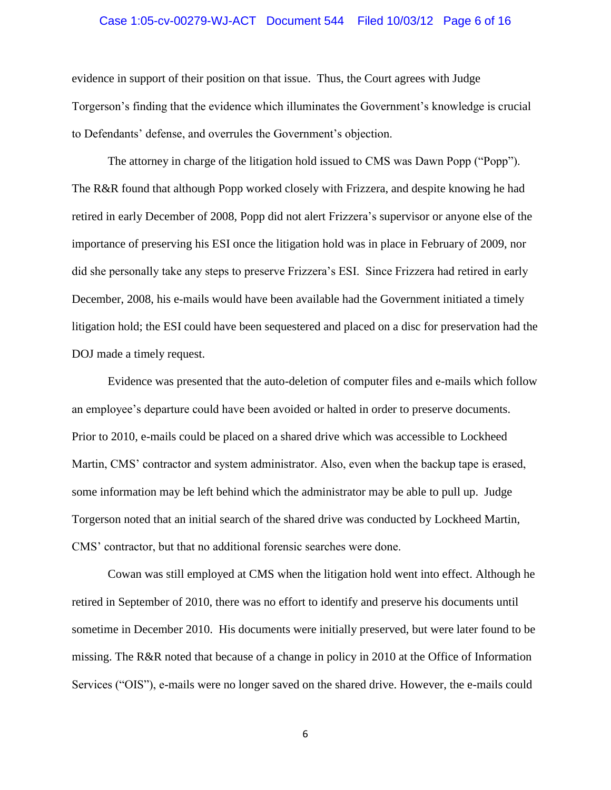#### Case 1:05-cv-00279-WJ-ACT Document 544 Filed 10/03/12 Page 6 of 16

evidence in support of their position on that issue. Thus, the Court agrees with Judge Torgerson"s finding that the evidence which illuminates the Government"s knowledge is crucial to Defendants" defense, and overrules the Government"s objection.

The attorney in charge of the litigation hold issued to CMS was Dawn Popp ("Popp"). The R&R found that although Popp worked closely with Frizzera, and despite knowing he had retired in early December of 2008, Popp did not alert Frizzera's supervisor or anyone else of the importance of preserving his ESI once the litigation hold was in place in February of 2009, nor did she personally take any steps to preserve Frizzera"s ESI. Since Frizzera had retired in early December, 2008, his e-mails would have been available had the Government initiated a timely litigation hold; the ESI could have been sequestered and placed on a disc for preservation had the DOJ made a timely request.

Evidence was presented that the auto-deletion of computer files and e-mails which follow an employee"s departure could have been avoided or halted in order to preserve documents. Prior to 2010, e-mails could be placed on a shared drive which was accessible to Lockheed Martin, CMS' contractor and system administrator. Also, even when the backup tape is erased, some information may be left behind which the administrator may be able to pull up. Judge Torgerson noted that an initial search of the shared drive was conducted by Lockheed Martin, CMS" contractor, but that no additional forensic searches were done.

Cowan was still employed at CMS when the litigation hold went into effect. Although he retired in September of 2010, there was no effort to identify and preserve his documents until sometime in December 2010. His documents were initially preserved, but were later found to be missing. The R&R noted that because of a change in policy in 2010 at the Office of Information Services ("OIS"), e-mails were no longer saved on the shared drive. However, the e-mails could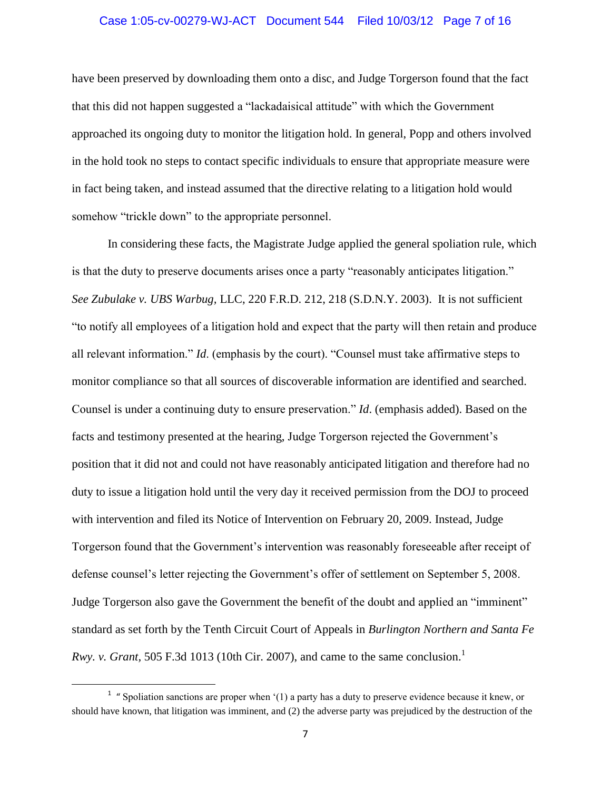#### Case 1:05-cv-00279-WJ-ACT Document 544 Filed 10/03/12 Page 7 of 16

have been preserved by downloading them onto a disc, and Judge Torgerson found that the fact that this did not happen suggested a "lackadaisical attitude" with which the Government approached its ongoing duty to monitor the litigation hold. In general, Popp and others involved in the hold took no steps to contact specific individuals to ensure that appropriate measure were in fact being taken, and instead assumed that the directive relating to a litigation hold would somehow "trickle down" to the appropriate personnel.

In considering these facts, the Magistrate Judge applied the general spoliation rule, which is that the duty to preserve documents arises once a party "reasonably anticipates litigation." *See Zubulake v. UBS Warbug,* LLC, 220 F.R.D. 212, 218 (S.D.N.Y. 2003). It is not sufficient "to notify all employees of a litigation hold and expect that the party will then retain and produce all relevant information." *Id*. (emphasis by the court). "Counsel must take affirmative steps to monitor compliance so that all sources of discoverable information are identified and searched. Counsel is under a continuing duty to ensure preservation." *Id*. (emphasis added). Based on the facts and testimony presented at the hearing, Judge Torgerson rejected the Government"s position that it did not and could not have reasonably anticipated litigation and therefore had no duty to issue a litigation hold until the very day it received permission from the DOJ to proceed with intervention and filed its Notice of Intervention on February 20, 2009. Instead, Judge Torgerson found that the Government's intervention was reasonably foreseeable after receipt of defense counsel"s letter rejecting the Government"s offer of settlement on September 5, 2008. Judge Torgerson also gave the Government the benefit of the doubt and applied an "imminent" standard as set forth by the Tenth Circuit Court of Appeals in *Burlington Northern and Santa Fe Rwy. v. Grant,* 505 F.3d 1013 (10th Cir. 2007), and came to the same conclusion.<sup>1</sup>

 $\overline{\phantom{a}}$ 

<sup>&</sup>lt;sup>1</sup> "Spoliation sanctions are proper when  $(1)$  a party has a duty to preserve evidence because it knew, or should have known, that litigation was imminent, and (2) the adverse party was prejudiced by the destruction of the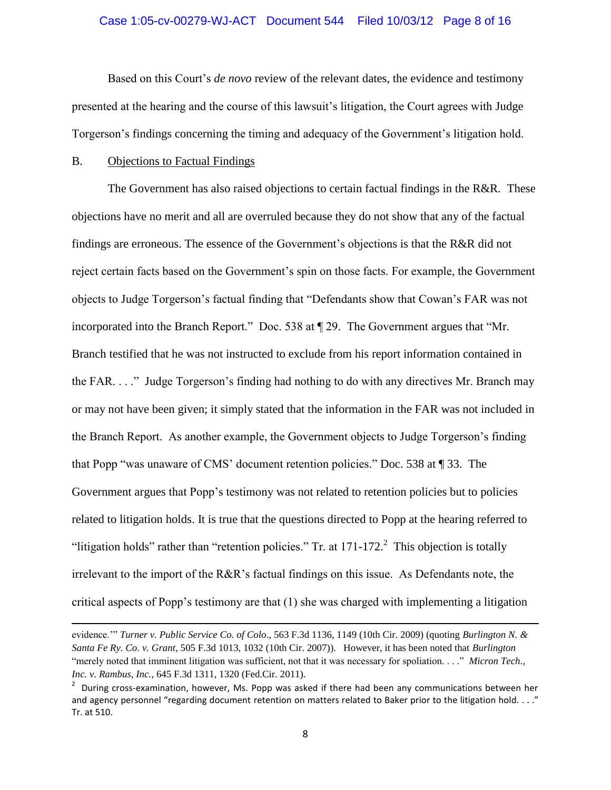#### Case 1:05-cv-00279-WJ-ACT Document 544 Filed 10/03/12 Page 8 of 16

Based on this Court"s *de novo* review of the relevant dates, the evidence and testimony presented at the hearing and the course of this lawsuit"s litigation, the Court agrees with Judge Torgerson"s findings concerning the timing and adequacy of the Government"s litigation hold.

### B. Objections to Factual Findings

 $\overline{\phantom{a}}$ 

The Government has also raised objections to certain factual findings in the R&R. These objections have no merit and all are overruled because they do not show that any of the factual findings are erroneous. The essence of the Government's objections is that the R&R did not reject certain facts based on the Government's spin on those facts. For example, the Government objects to Judge Torgerson"s factual finding that "Defendants show that Cowan"s FAR was not incorporated into the Branch Report." Doc. 538 at ¶ 29. The Government argues that "Mr. Branch testified that he was not instructed to exclude from his report information contained in the FAR. . . ." Judge Torgerson"s finding had nothing to do with any directives Mr. Branch may or may not have been given; it simply stated that the information in the FAR was not included in the Branch Report. As another example, the Government objects to Judge Torgerson"s finding that Popp "was unaware of CMS" document retention policies." Doc. 538 at ¶ 33. The Government argues that Popp's testimony was not related to retention policies but to policies related to litigation holds. It is true that the questions directed to Popp at the hearing referred to "litigation holds" rather than "retention policies." Tr. at  $171-172$ .<sup>2</sup> This objection is totally irrelevant to the import of the R&R"s factual findings on this issue. As Defendants note, the critical aspects of Popp"s testimony are that (1) she was charged with implementing a litigation

evidence."" *Turner v. Public Service Co. of Colo*., 563 F.3d 1136, 1149 (10th Cir. 2009) (quoting *Burlington N. & Santa Fe Ry. Co. v. Grant*, 505 F.3d 1013, 1032 (10th Cir. 2007)). However, it has been noted that *Burlington* "merely noted that imminent litigation was sufficient, not that it was necessary for spoliation. . . ." *Micron Tech., Inc. v. Rambus, Inc.*, 645 F.3d 1311, 1320 (Fed.Cir. 2011).

<sup>&</sup>lt;sup>2</sup> During cross-examination, however, Ms. Popp was asked if there had been any communications between her and agency personnel "regarding document retention on matters related to Baker prior to the litigation hold. . . ." Tr. at 510.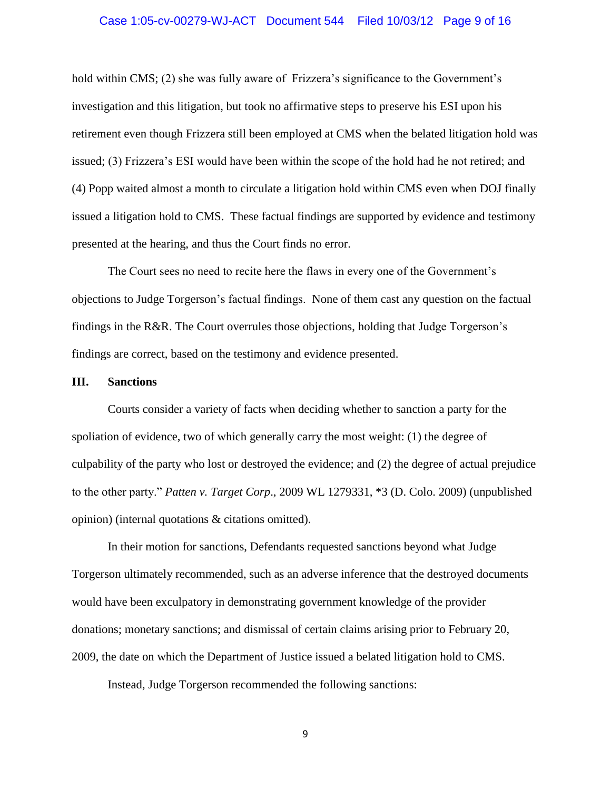#### Case 1:05-cv-00279-WJ-ACT Document 544 Filed 10/03/12 Page 9 of 16

hold within CMS; (2) she was fully aware of Frizzera's significance to the Government's investigation and this litigation, but took no affirmative steps to preserve his ESI upon his retirement even though Frizzera still been employed at CMS when the belated litigation hold was issued; (3) Frizzera"s ESI would have been within the scope of the hold had he not retired; and (4) Popp waited almost a month to circulate a litigation hold within CMS even when DOJ finally issued a litigation hold to CMS. These factual findings are supported by evidence and testimony presented at the hearing, and thus the Court finds no error.

The Court sees no need to recite here the flaws in every one of the Government"s objections to Judge Torgerson"s factual findings. None of them cast any question on the factual findings in the R&R. The Court overrules those objections, holding that Judge Torgerson"s findings are correct, based on the testimony and evidence presented.

#### **III. Sanctions**

Courts consider a variety of facts when deciding whether to sanction a party for the spoliation of evidence, two of which generally carry the most weight: (1) the degree of culpability of the party who lost or destroyed the evidence; and (2) the degree of actual prejudice to the other party." *Patten v. Target Corp*., 2009 WL 1279331, \*3 (D. Colo. 2009) (unpublished opinion) (internal quotations & citations omitted).

In their motion for sanctions, Defendants requested sanctions beyond what Judge Torgerson ultimately recommended, such as an adverse inference that the destroyed documents would have been exculpatory in demonstrating government knowledge of the provider donations; monetary sanctions; and dismissal of certain claims arising prior to February 20, 2009, the date on which the Department of Justice issued a belated litigation hold to CMS.

Instead, Judge Torgerson recommended the following sanctions: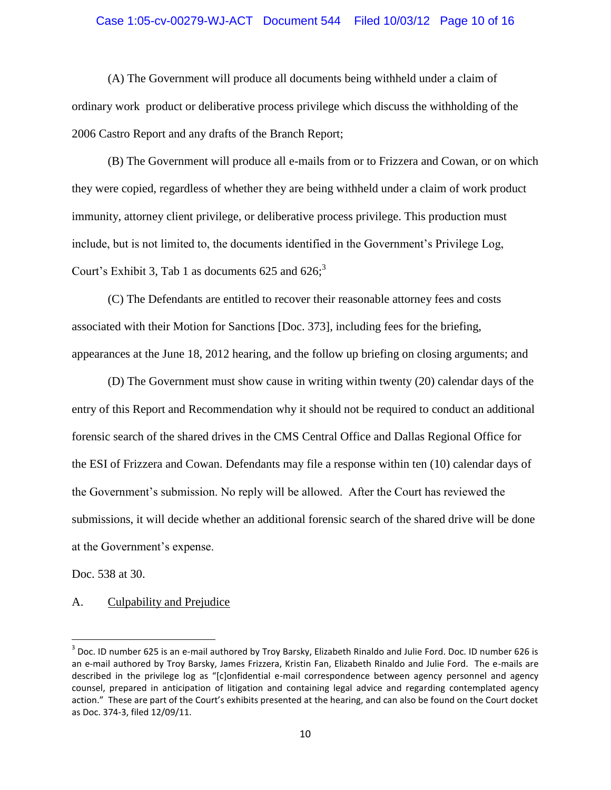# Case 1:05-cv-00279-WJ-ACT Document 544 Filed 10/03/12 Page 10 of 16

(A) The Government will produce all documents being withheld under a claim of ordinary work product or deliberative process privilege which discuss the withholding of the 2006 Castro Report and any drafts of the Branch Report;

(B) The Government will produce all e-mails from or to Frizzera and Cowan, or on which they were copied, regardless of whether they are being withheld under a claim of work product immunity, attorney client privilege, or deliberative process privilege. This production must include, but is not limited to, the documents identified in the Government's Privilege Log, Court's Exhibit 3, Tab 1 as documents 625 and 626; $3$ 

(C) The Defendants are entitled to recover their reasonable attorney fees and costs associated with their Motion for Sanctions [Doc. 373], including fees for the briefing, appearances at the June 18, 2012 hearing, and the follow up briefing on closing arguments; and

(D) The Government must show cause in writing within twenty (20) calendar days of the entry of this Report and Recommendation why it should not be required to conduct an additional forensic search of the shared drives in the CMS Central Office and Dallas Regional Office for the ESI of Frizzera and Cowan. Defendants may file a response within ten (10) calendar days of the Government's submission. No reply will be allowed. After the Court has reviewed the submissions, it will decide whether an additional forensic search of the shared drive will be done at the Government"s expense.

Doc. 538 at 30.

 $\overline{a}$ 

A. Culpability and Prejudice

<sup>&</sup>lt;sup>3</sup> Doc. ID number 625 is an e-mail authored by Troy Barsky, Elizabeth Rinaldo and Julie Ford. Doc. ID number 626 is an e-mail authored by Troy Barsky, James Frizzera, Kristin Fan, Elizabeth Rinaldo and Julie Ford. The e-mails are described in the privilege log as "[c]onfidential e-mail correspondence between agency personnel and agency counsel, prepared in anticipation of litigation and containing legal advice and regarding contemplated agency action." These are part of the Court's exhibits presented at the hearing, and can also be found on the Court docket as Doc. 374-3, filed 12/09/11.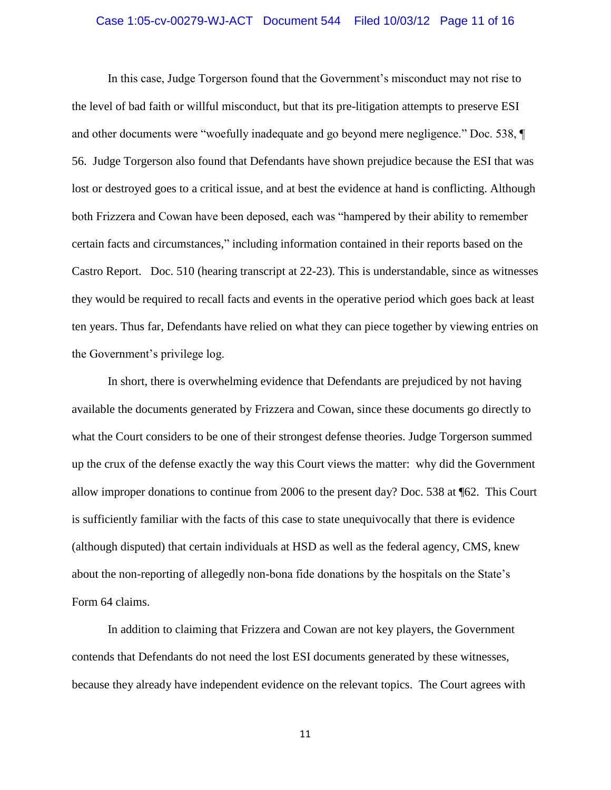# Case 1:05-cv-00279-WJ-ACT Document 544 Filed 10/03/12 Page 11 of 16

In this case, Judge Torgerson found that the Government"s misconduct may not rise to the level of bad faith or willful misconduct, but that its pre-litigation attempts to preserve ESI and other documents were "woefully inadequate and go beyond mere negligence." Doc. 538, ¶ 56. Judge Torgerson also found that Defendants have shown prejudice because the ESI that was lost or destroyed goes to a critical issue, and at best the evidence at hand is conflicting. Although both Frizzera and Cowan have been deposed, each was "hampered by their ability to remember certain facts and circumstances," including information contained in their reports based on the Castro Report. Doc. 510 (hearing transcript at 22-23). This is understandable, since as witnesses they would be required to recall facts and events in the operative period which goes back at least ten years. Thus far, Defendants have relied on what they can piece together by viewing entries on the Government's privilege log.

In short, there is overwhelming evidence that Defendants are prejudiced by not having available the documents generated by Frizzera and Cowan, since these documents go directly to what the Court considers to be one of their strongest defense theories. Judge Torgerson summed up the crux of the defense exactly the way this Court views the matter: why did the Government allow improper donations to continue from 2006 to the present day? Doc. 538 at ¶62. This Court is sufficiently familiar with the facts of this case to state unequivocally that there is evidence (although disputed) that certain individuals at HSD as well as the federal agency, CMS, knew about the non-reporting of allegedly non-bona fide donations by the hospitals on the State"s Form 64 claims.

In addition to claiming that Frizzera and Cowan are not key players, the Government contends that Defendants do not need the lost ESI documents generated by these witnesses, because they already have independent evidence on the relevant topics. The Court agrees with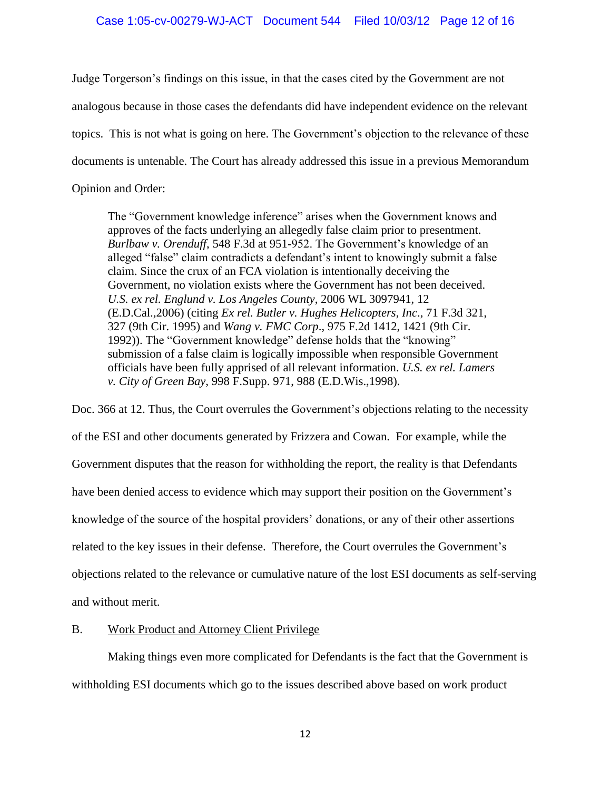### Case 1:05-cv-00279-WJ-ACT Document 544 Filed 10/03/12 Page 12 of 16

Judge Torgerson"s findings on this issue, in that the cases cited by the Government are not analogous because in those cases the defendants did have independent evidence on the relevant topics. This is not what is going on here. The Government"s objection to the relevance of these documents is untenable. The Court has already addressed this issue in a previous Memorandum Opinion and Order:

The "Government knowledge inference" arises when the Government knows and approves of the facts underlying an allegedly false claim prior to presentment. *Burlbaw v. Orenduff*, 548 F.3d at 951-952. The Government"s knowledge of an alleged "false" claim contradicts a defendant's intent to knowingly submit a false claim. Since the crux of an FCA violation is intentionally deceiving the Government, no violation exists where the Government has not been deceived. *U.S. ex rel. Englund v. Los Angeles County*, 2006 WL 3097941, 12 (E.D.Cal.,2006) (citing *Ex rel. Butler v. Hughes Helicopters, Inc*., 71 F.3d 321, 327 (9th Cir. 1995) and *Wang v. FMC Corp*., 975 F.2d 1412, 1421 (9th Cir. 1992)). The "Government knowledge" defense holds that the "knowing" submission of a false claim is logically impossible when responsible Government officials have been fully apprised of all relevant information. *U.S. ex rel. Lamers v. City of Green Bay*, 998 F.Supp. 971, 988 (E.D.Wis.,1998).

Doc. 366 at 12. Thus, the Court overrules the Government's objections relating to the necessity of the ESI and other documents generated by Frizzera and Cowan. For example, while the Government disputes that the reason for withholding the report, the reality is that Defendants have been denied access to evidence which may support their position on the Government's knowledge of the source of the hospital providers" donations, or any of their other assertions related to the key issues in their defense. Therefore, the Court overrules the Government's objections related to the relevance or cumulative nature of the lost ESI documents as self-serving and without merit.

### B. Work Product and Attorney Client Privilege

Making things even more complicated for Defendants is the fact that the Government is withholding ESI documents which go to the issues described above based on work product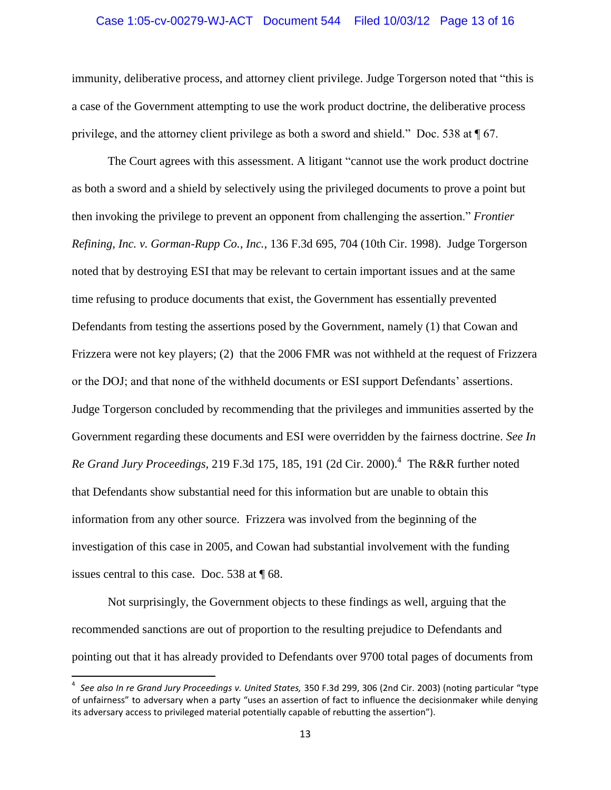#### Case 1:05-cv-00279-WJ-ACT Document 544 Filed 10/03/12 Page 13 of 16

immunity, deliberative process, and attorney client privilege. Judge Torgerson noted that "this is a case of the Government attempting to use the work product doctrine, the deliberative process privilege, and the attorney client privilege as both a sword and shield." Doc. 538 at ¶ 67.

The Court agrees with this assessment. A litigant "cannot use the work product doctrine as both a sword and a shield by selectively using the privileged documents to prove a point but then invoking the privilege to prevent an opponent from challenging the assertion." *Frontier Refining, Inc. v. Gorman-Rupp Co., Inc.*, 136 F.3d 695, 704 (10th Cir. 1998). Judge Torgerson noted that by destroying ESI that may be relevant to certain important issues and at the same time refusing to produce documents that exist, the Government has essentially prevented Defendants from testing the assertions posed by the Government, namely (1) that Cowan and Frizzera were not key players; (2) that the 2006 FMR was not withheld at the request of Frizzera or the DOJ; and that none of the withheld documents or ESI support Defendants" assertions. Judge Torgerson concluded by recommending that the privileges and immunities asserted by the Government regarding these documents and ESI were overridden by the fairness doctrine. *See In*  Re Grand Jury Proceedings, 219 F.3d 175, 185, 191 (2d Cir. 2000).<sup>4</sup> The R&R further noted that Defendants show substantial need for this information but are unable to obtain this information from any other source. Frizzera was involved from the beginning of the investigation of this case in 2005, and Cowan had substantial involvement with the funding issues central to this case. Doc. 538 at ¶ 68.

Not surprisingly, the Government objects to these findings as well, arguing that the recommended sanctions are out of proportion to the resulting prejudice to Defendants and pointing out that it has already provided to Defendants over 9700 total pages of documents from

 $\overline{\phantom{a}}$ 

<sup>4</sup> *See also In re Grand Jury Proceedings v. United States,* 350 F.3d 299, 306 (2nd Cir. 2003) (noting particular "type of unfairness" to adversary when a party "uses an assertion of fact to influence the decisionmaker while denying its adversary access to privileged material potentially capable of rebutting the assertion").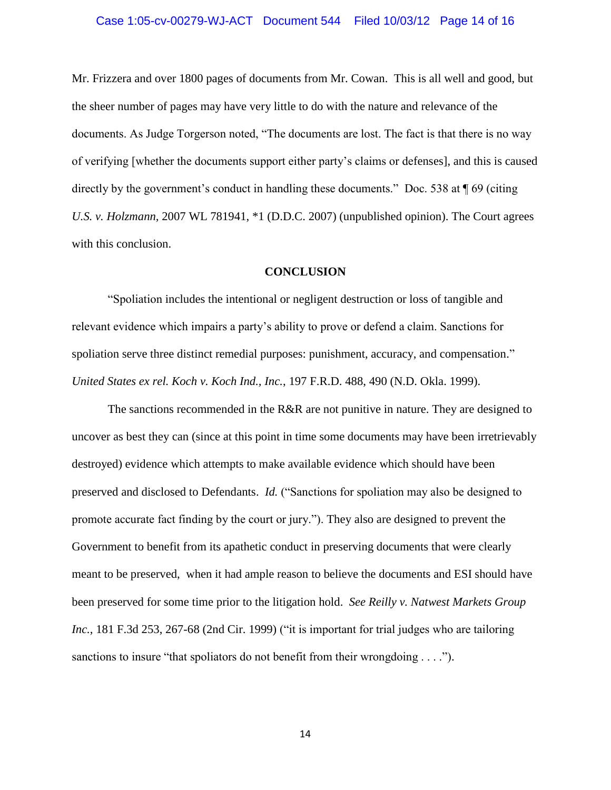# Case 1:05-cv-00279-WJ-ACT Document 544 Filed 10/03/12 Page 14 of 16

Mr. Frizzera and over 1800 pages of documents from Mr. Cowan. This is all well and good, but the sheer number of pages may have very little to do with the nature and relevance of the documents. As Judge Torgerson noted, "The documents are lost. The fact is that there is no way of verifying [whether the documents support either party"s claims or defenses], and this is caused directly by the government's conduct in handling these documents." Doc. 538 at  $\P$  69 (citing *U.S. v. Holzmann,* 2007 WL 781941, \*1 (D.D.C. 2007) (unpublished opinion). The Court agrees with this conclusion.

### **CONCLUSION**

"Spoliation includes the intentional or negligent destruction or loss of tangible and relevant evidence which impairs a party"s ability to prove or defend a claim. Sanctions for spoliation serve three distinct remedial purposes: punishment, accuracy, and compensation." *United States ex rel. Koch v. Koch Ind., Inc.*, 197 F.R.D. 488, 490 (N.D. Okla. 1999).

The sanctions recommended in the R&R are not punitive in nature. They are designed to uncover as best they can (since at this point in time some documents may have been irretrievably destroyed) evidence which attempts to make available evidence which should have been preserved and disclosed to Defendants. *Id.* ("Sanctions for spoliation may also be designed to promote accurate fact finding by the court or jury."). They also are designed to prevent the Government to benefit from its apathetic conduct in preserving documents that were clearly meant to be preserved, when it had ample reason to believe the documents and ESI should have been preserved for some time prior to the litigation hold. *See Reilly v. Natwest Markets Group Inc.*, 181 F.3d 253, 267-68 (2nd Cir. 1999) ("it is important for trial judges who are tailoring sanctions to insure "that spoliators do not benefit from their wrongdoing . . . .").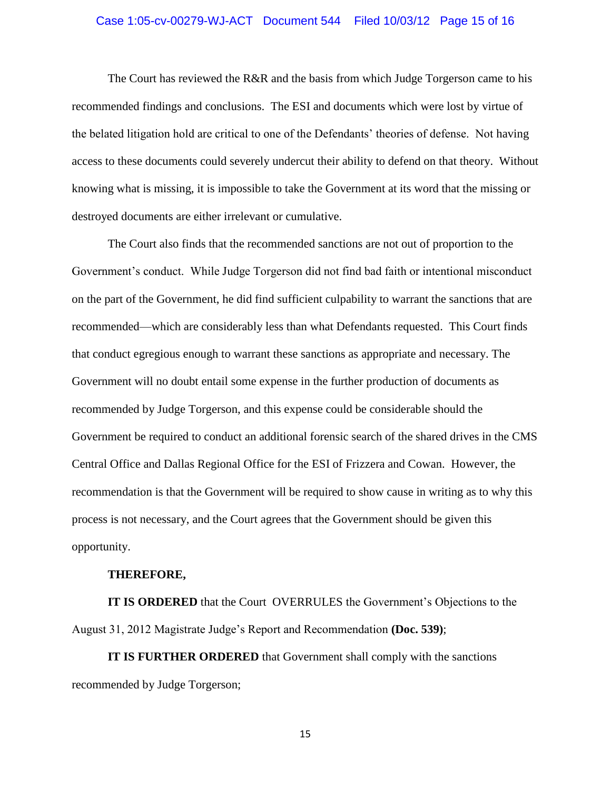# Case 1:05-cv-00279-WJ-ACT Document 544 Filed 10/03/12 Page 15 of 16

The Court has reviewed the R&R and the basis from which Judge Torgerson came to his recommended findings and conclusions. The ESI and documents which were lost by virtue of the belated litigation hold are critical to one of the Defendants" theories of defense. Not having access to these documents could severely undercut their ability to defend on that theory. Without knowing what is missing, it is impossible to take the Government at its word that the missing or destroyed documents are either irrelevant or cumulative.

The Court also finds that the recommended sanctions are not out of proportion to the Government"s conduct. While Judge Torgerson did not find bad faith or intentional misconduct on the part of the Government, he did find sufficient culpability to warrant the sanctions that are recommended—which are considerably less than what Defendants requested. This Court finds that conduct egregious enough to warrant these sanctions as appropriate and necessary. The Government will no doubt entail some expense in the further production of documents as recommended by Judge Torgerson, and this expense could be considerable should the Government be required to conduct an additional forensic search of the shared drives in the CMS Central Office and Dallas Regional Office for the ESI of Frizzera and Cowan. However, the recommendation is that the Government will be required to show cause in writing as to why this process is not necessary, and the Court agrees that the Government should be given this opportunity.

#### **THEREFORE,**

**IT IS ORDERED** that the Court OVERRULES the Government's Objections to the August 31, 2012 Magistrate Judge"s Report and Recommendation **(Doc. 539)**;

**IT IS FURTHER ORDERED** that Government shall comply with the sanctions recommended by Judge Torgerson;